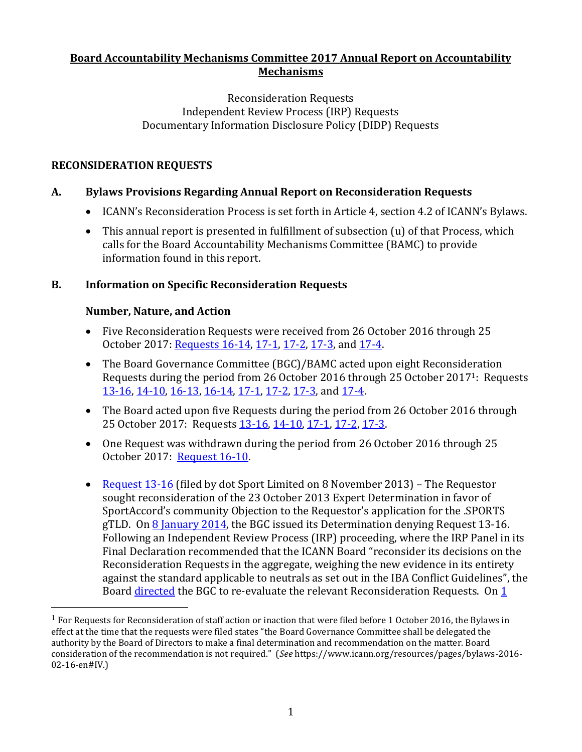## **Board Accountability Mechanisms Committee 2017 Annual Report on Accountability Mechanisms**

#### Reconsideration Requests Independent Review Process (IRP) Requests Documentary Information Disclosure Policy (DIDP) Requests

## **RECONSIDERATION REQUESTS**

# **A. Bylaws Provisions Regarding Annual Report on Reconsideration Requests**

- ICANN's Reconsideration Process is set forth in Article 4, section 4.2 of ICANN's Bylaws.
- This annual report is presented in fulfillment of subsection (u) of that Process, which calls for the Board Accountability Mechanisms Committee (BAMC) to provide information found in this report.

## **B. Information on Specific Reconsideration Requests**

### **Number, Nature, and Action**

 $\overline{\phantom{a}}$ 

- Five Reconsideration Requests were received from 26 October 2016 through 25 October 2017: [Requests 16-14,](https://www.icann.org/resources/pages/reconsideration-16-14-lee-request-2016-12-16-en) [17-1,](https://www.icann.org/resources/pages/reconsideration-17-1-smith-request-2017-03-16-en) [17-2,](https://www.icann.org/resources/pages/reconsideration-17-2-dotmusic-request-2017-06-19-en) [17-3,](https://www.icann.org/resources/pages/reconsideration-17-3-dotgay-request-2017-07-03-en) and [17-4.](https://www.icann.org/resources/pages/reconsideration-17-4-dotmusic-dotgay-request-2017-07-28-en)
- The Board Governance Committee (BGC)/BAMC acted upon eight Reconsideration Requests during the period from 26 October 2016 through 25 October 20171: Requests [13-16, 14-10,](https://www.icann.org/en/system/files/files/reconsideration-13-16-et-al-dot-sport-revised-bgc-recommendation-attachment-1-01jun17-en.pdf) [16-13,](https://www.icann.org/en/system/files/files/reconsideration-16-13-merck-kgaa-bgc-request-redacted-02nov16-en.pdf) [16-14,](https://www.icann.org/en/system/files/files/reconsideration-16-14-lee-bgc-determination-01feb17-en.pdf) [17-1,](https://www.icann.org/en/system/files/files/reconsideration-17-1-smith-bgc-recommendation-01jun17-en.pdf) [17-2,](https://www.icann.org/en/system/files/files/reconsideration-17-2-dotmusic-bamc-recommendation-23aug17-en.pdf) [17-3,](https://www.icann.org/en/system/files/files/reconsideration-17-3-dotgay-request-bamc-23aug17-en.pdf) and [17-4.](https://www.icann.org/en/system/files/files/reconsideration-17-4-dotmusic-dotgay-bamc-recommendation-request-11oct17-en.pdf)
- The Board acted upon five Requests during the period from 26 October 2016 through 25 October 2017: Requests [13-16, 14-10,](https://www.icann.org/resources/board-material/resolutions-2017-06-24-en#2.c) [17-1,](https://www.icann.org/resources/board-material/resolutions-2017-06-24-en#2.d) [17-2,](https://www.icann.org/resources/board-material/resolutions-2017-09-23-en#2.a) [17-3.](https://www.icann.org/resources/board-material/resolutions-2017-09-23-en#2.b)
- One Request was withdrawn during the period from 26 October 2016 through 25 October 2017: [Request 16-10.](https://www.icann.org/resources/pages/reconsideration-16-10-rysg-request-2016-08-11-en)
- [Request 13-16](https://www.icann.org/resources/pages/13-16-2014-02-13-en) (filed by dot Sport Limited on 8 November 2013) The Requestor sought reconsideration of the 23 October 2013 Expert Determination in favor of SportAccord's community Objection to the Requestor's application for the .SPORTS gTLD. On  $8$  January 2014, the BGC issued its Determination denying Request 13-16. Following an Independent Review Process (IRP) proceeding, where the IRP Panel in its Final Declaration recommended that the ICANN Board "reconsider its decisions on the Reconsideration Requests in the aggregate, weighing the new evidence in its entirety against the standard applicable to neutrals as set out in the IBA Conflict Guidelines", the Board [directed](https://www.icann.org/resources/board-material/resolutions-2017-03-16-en#2.c) the BGC to re-evaluate the relevant Reconsideration Requests. On [1](https://www.icann.org/en/system/files/files/reconsideration-13-16-et-al-dot-sport-revised-bgc-recommendation-attachment-1-01jun17-en.pdf)

<sup>&</sup>lt;sup>1</sup> For Requests for Reconsideration of staff action or inaction that were filed before 1 October 2016, the Bylaws in effect at the time that the requests were filed states "the Board Governance Committee shall be delegated the authority by the Board of Directors to make a final determination and recommendation on the matter. Board consideration of the recommendation is not required." (*See* https://www.icann.org/resources/pages/bylaws-2016- 02-16-en#IV.)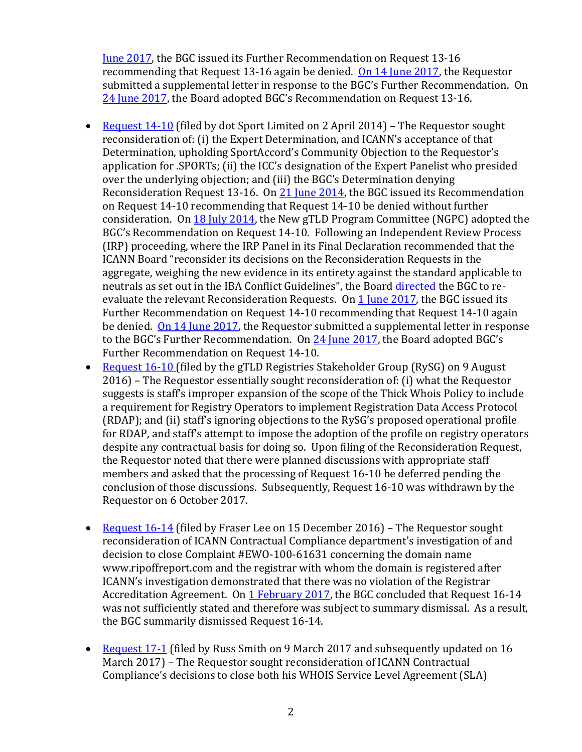[June 2017,](https://www.icann.org/en/system/files/files/reconsideration-13-16-et-al-dot-sport-revised-bgc-recommendation-attachment-1-01jun17-en.pdf) the BGC issued its Further Recommendation on Request 13-16 recommending that Request 13-16 again be denied. [On 14 June 2017,](https://www.icann.org/en/system/files/files/reconsideration-13-16-et-al-dot-sport-crowell-moring-to-icann-board-redacted-14jun17-en.pdf) the Requestor submitted a supplemental letter in response to the BGC's Further Recommendation. On [24 June 2017,](https://www.icann.org/resources/board-material/resolutions-2017-06-24-en#2.c) the Board adopted BGC's Recommendation on Request 13-16.

- [Request 14-10](https://www.icann.org/resources/pages/14-10-2014-04-03-en) (filed by dot Sport Limited on 2 April 2014) The Requestor sought reconsideration of: (i) the Expert Determination, and ICANN's acceptance of that Determination, upholding SportAccord's Community Objection to the Requestor's application for .SPORTs; (ii) the ICC's designation of the Expert Panelist who presided over the underlying objection; and (iii) the BGC's Determination denying Reconsideration Request 13-16. On [21 June 2014,](https://www.icann.org/en/system/files/files/recommendation-sport-21jun14-en.pdf) the BGC issued its Recommendation on Request 14-10 recommending that Request 14-10 be denied without further consideration. O[n 18 July 2014,](https://www.icann.org/resources/board-material/resolutions-new-gtld-2014-07-18-en) the New gTLD Program Committee (NGPC) adopted the BGC's Recommendation on Request 14-10. Following an Independent Review Process (IRP) proceeding, where the IRP Panel in its Final Declaration recommended that the ICANN Board "reconsider its decisions on the Reconsideration Requests in the aggregate, weighing the new evidence in its entirety against the standard applicable to neutrals as set out in the IBA Conflict Guidelines", the Board [directed](https://www.icann.org/resources/board-material/resolutions-2017-03-16-en#2.c) the BGC to reevaluate the relevant Reconsideration Requests. O[n 1 June 2017,](https://www.icann.org/en/system/files/files/reconsideration-13-16-et-al-dot-sport-revised-bgc-recommendation-attachment-1-01jun17-en.pdf) the BGC issued its Further Recommendation on Request 14-10 recommending that Request 14-10 again be denied. [On 14 June 2017,](https://www.icann.org/en/system/files/files/reconsideration-13-16-et-al-dot-sport-crowell-moring-to-icann-board-redacted-14jun17-en.pdf) the Requestor submitted a supplemental letter in response to the BGC's Further Recommendation. O[n 24 June 2017](https://www.icann.org/resources/board-material/resolutions-2017-06-24-en#2.c), the Board adopted BGC's Further Recommendation on Request 14-10.
- [Request 16-10](https://www.icann.org/resources/pages/reconsideration-16-10-rysg-request-2016-08-11-en) (filed by the gTLD Registries Stakeholder Group (RySG) on 9 August 2016) – The Requestor essentially sought reconsideration of: (i) what the Requestor suggests is staff's improper expansion of the scope of the Thick Whois Policy to include a requirement for Registry Operators to implement Registration Data Access Protocol (RDAP); and (ii) staff's ignoring objections to the RySG's proposed operational profile for RDAP, and staff's attempt to impose the adoption of the profile on registry operators despite any contractual basis for doing so. Upon filing of the Reconsideration Request, the Requestor noted that there were planned discussions with appropriate staff members and asked that the processing of Request 16-10 be deferred pending the conclusion of those discussions. Subsequently, Request 16-10 was withdrawn by the Requestor on 6 October 2017.
- [Request 16-14](https://www.icann.org/resources/pages/reconsideration-16-14-lee-request-2016-12-16-en) (filed by Fraser Lee on 15 December 2016) The Requestor sought reconsideration of ICANN Contractual Compliance department's investigation of and decision to close Complaint #EWO-100-61631 concerning the domain name www.ripoffreport.com and the registrar with whom the domain is registered after ICANN's investigation demonstrated that there was no violation of the Registrar Accreditation Agreement. O[n 1 February 2017,](https://www.icann.org/en/system/files/files/reconsideration-16-14-lee-bgc-determination-01feb17-en.pdf) the BGC concluded that Request 16-14 was not sufficiently stated and therefore was subject to summary dismissal. As a result, the BGC summarily dismissed Request 16-14.
- [Request 17-1](https://www.icann.org/resources/pages/reconsideration-17-1-smith-request-2017-03-16-en) (filed by Russ Smith on 9 March 2017 and subsequently updated on 16 March 2017) – The Requestor sought reconsideration of ICANN Contractual Compliance's decisions to close both his WHOIS Service Level Agreement (SLA)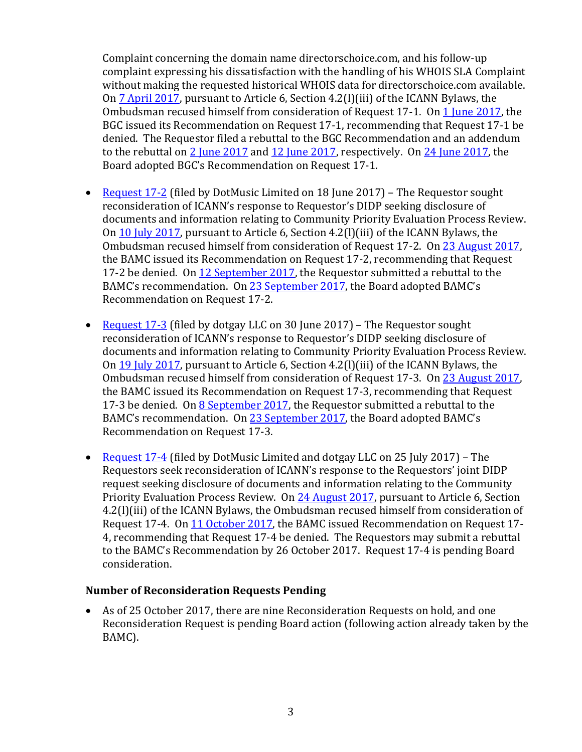Complaint concerning the domain name directorschoice.com, and his follow-up complaint expressing his dissatisfaction with the handling of his WHOIS SLA Complaint without making the requested historical WHOIS data for directorschoice.com available. On [7 April 2017,](https://www.icann.org/en/system/files/files/reconsideration-17-1-smith-response-ombudsman-07apr17-en.pdf) pursuant to Article 6, Section 4.2(l)(iii) of the ICANN Bylaws, the Ombudsman recused himself from consideration of Request 17-1. On [1 June 2017,](https://www.icann.org/en/system/files/files/reconsideration-17-1-smith-bgc-recommendation-01jun17-en.pdf) the BGC issued its Recommendation on Request 17-1, recommending that Request 17-1 be denied. The Requestor filed a rebuttal to the BGC Recommendation and an addendum to the rebuttal on [2 June 2017](https://www.icann.org/en/system/files/files/reconsideration-17-1-smith-requestor-rebuttal-bgc-recommendation-02jun17-en.pdf) an[d 12 June 2017,](https://www.icann.org/en/system/files/files/reconsideration-17-1-smith-addendum-requestor-rebuttal-bgc-recommendation-12jun17-en.pdf) respectively. On [24 June 2017,](https://www.icann.org/resources/board-material/resolutions-2017-06-24-en#2.d) the Board adopted BGC's Recommendation on Request 17-1.

- [Request 17-2](https://www.icann.org/resources/pages/reconsideration-17-2-dotmusic-request-2017-06-19-en) (filed by DotMusic Limited on 18 June 2017) The Requestor sought reconsideration of ICANN's response to Requestor's DIDP seeking disclosure of documents and information relating to Community Priority Evaluation Process Review. On [10 July 2017,](https://www.icann.org/en/system/files/files/reconsideration-17-2-dotmusic-ombudsman-action-10jul17-en.pdf) pursuant to Article 6, Section 4.2(l)(iii) of the ICANN Bylaws, the Ombudsman recused himself from consideration of Request 17-2. On [23 August 2017,](https://www.icann.org/en/system/files/files/reconsideration-17-2-dotmusic-bamc-recommendation-23aug17-en.pdf) the BAMC issued its Recommendation on Request 17-2, recommending that Request 17-2 be denied. On [12 September 2017,](https://www.icann.org/en/system/files/files/reconsideration-17-2-dotmusic-requestor-rebuttal-bamc-recommendation-12sep17-en.pdf) the Requestor submitted a rebuttal to the BAMC's recommendation. O[n 23 September 2017](https://www.icann.org/resources/board-material/resolutions-2017-09-23-en#2.a), the Board adopted BAMC's Recommendation on Request 17-2.
- [Request 17-3](https://www.icann.org/resources/pages/reconsideration-17-3-dotgay-request-2017-07-03-en) (filed by dotgay LLC on 30 June 2017) The Requestor sought reconsideration of ICANN's response to Requestor's DIDP seeking disclosure of documents and information relating to Community Priority Evaluation Process Review. On [19 July 2017,](https://www.icann.org/en/system/files/files/reconsideration-17-3-dotgay-response-ombudsman-19jul17-en.pdf) pursuant to Article 6, Section 4.2(l)(iii) of the ICANN Bylaws, the Ombudsman recused himself from consideration of Request 17-3. On [23 August 2017,](https://www.icann.org/en/system/files/files/reconsideration-17-3-dotgay-request-bamc-23aug17-en.pdf) the BAMC issued its Recommendation on Request 17-3, recommending that Request 17-3 be denied. On [8 September 2017,](https://www.icann.org/en/system/files/files/reconsideration-17-3-dotgay-requestor-rebuttal-bamc-recommendation-08sep17-en.pdf) the Requestor submitted a rebuttal to the BAMC's recommendation. O[n 23 September 2017](https://www.icann.org/resources/board-material/resolutions-2017-09-23-en#2.b), the Board adopted BAMC's Recommendation on Request 17-3.
- [Request 17-4](https://www.icann.org/resources/pages/reconsideration-17-4-dotmusic-dotgay-request-2017-07-28-en) (filed by DotMusic Limited and dotgay LLC on 25 July 2017) The Requestors seek reconsideration of ICANN's response to the Requestors' joint DIDP request seeking disclosure of documents and information relating to the Community Priority Evaluation Process Review. On [24 August 2017,](https://www.icann.org/en/system/files/files/reconsideration-17-4-dotmusic-dotgay-ombudsman-action-request-24aug17-en.pdf) pursuant to Article 6, Section 4.2(l)(iii) of the ICANN Bylaws, the Ombudsman recused himself from consideration of Request 17-4. On [11 October 2017,](https://www.icann.org/en/system/files/files/reconsideration-17-4-dotmusic-dotgay-bamc-recommendation-request-11oct17-en.pdf) the BAMC issued Recommendation on Request 17- 4, recommending that Request 17-4 be denied. The Requestors may submit a rebuttal to the BAMC's Recommendation by 26 October 2017. Request 17-4 is pending Board consideration.

### **Number of Reconsideration Requests Pending**

• As of 25 October 2017, there are nine Reconsideration Requests on hold, and one Reconsideration Request is pending Board action (following action already taken by the BAMC).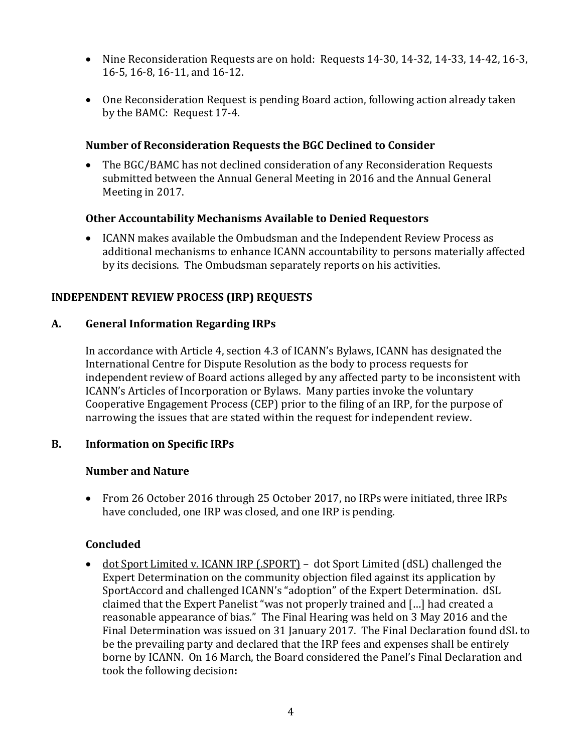- Nine Reconsideration Requests are on hold: Requests 14-30, 14-32, 14-33, 14-42, 16-3, 16-5, 16-8, 16-11, and 16-12.
- One Reconsideration Request is pending Board action, following action already taken by the BAMC: Request 17-4.

## **Number of Reconsideration Requests the BGC Declined to Consider**

• The BGC/BAMC has not declined consideration of any Reconsideration Requests submitted between the Annual General Meeting in 2016 and the Annual General Meeting in 2017.

### **Other Accountability Mechanisms Available to Denied Requestors**

• ICANN makes available the Ombudsman and the Independent Review Process as additional mechanisms to enhance ICANN accountability to persons materially affected by its decisions. The Ombudsman separately reports on his activities.

## **INDEPENDENT REVIEW PROCESS (IRP) REQUESTS**

### **A. General Information Regarding IRPs**

In accordance with Article 4, section 4.3 of ICANN's Bylaws, ICANN has designated the International Centre for Dispute Resolution as the body to process requests for independent review of Board actions alleged by any affected party to be inconsistent with ICANN's Articles of Incorporation or Bylaws. Many parties invoke the voluntary Cooperative Engagement Process (CEP) prior to the filing of an IRP, for the purpose of narrowing the issues that are stated within the request for independent review.

### **B. Information on Specific IRPs**

### **Number and Nature**

• From 26 October 2016 through 25 October 2017, no IRPs were initiated, three IRPs have concluded, one IRP was closed, and one IRP is pending.

### **Concluded**

• dot Sport Limited v. ICANN IRP (.SPORT) - dot Sport Limited (dSL) challenged the Expert Determination on the community objection filed against its application by SportAccord and challenged ICANN's "adoption" of the Expert Determination. dSL claimed that the Expert Panelist "was not properly trained and […] had created a reasonable appearance of bias." The Final Hearing was held on 3 May 2016 and the Final Determination was issued on 31 January 2017. The Final Declaration found dSL to be the prevailing party and declared that the IRP fees and expenses shall be entirely borne by ICANN. On 16 March, the Board considered the Panel's Final Declaration and took the following decision**:**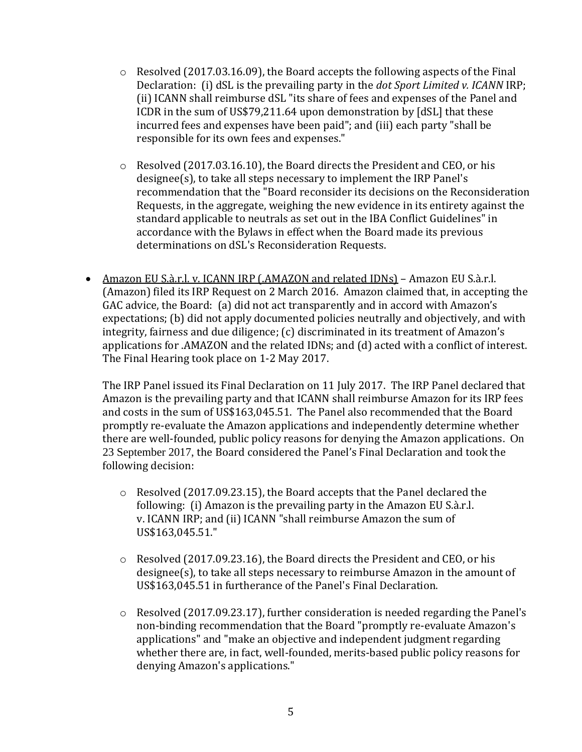- $\circ$  Resolved (2017.03.16.09), the Board accepts the following aspects of the Final Declaration: (i) dSL is the prevailing party in the *dot Sport Limited v. ICANN* IRP; (ii) ICANN shall reimburse dSL "its share of fees and expenses of the Panel and ICDR in the sum of US\$79,211.64 upon demonstration by [dSL] that these incurred fees and expenses have been paid"; and (iii) each party "shall be responsible for its own fees and expenses."
- $\circ$  Resolved (2017.03.16.10), the Board directs the President and CEO, or his designee(s), to take all steps necessary to implement the IRP Panel's recommendation that the "Board reconsider its decisions on the Reconsideration Requests, in the aggregate, weighing the new evidence in its entirety against the standard applicable to neutrals as set out in the IBA Conflict Guidelines" in accordance with the Bylaws in effect when the Board made its previous determinations on dSL's Reconsideration Requests.
- Amazon EU S.à.r.l. v. ICANN IRP (.AMAZON and related IDNs) Amazon EU S.à.r.l. (Amazon) filed its IRP Request on 2 March 2016. Amazon claimed that, in accepting the GAC advice, the Board: (a) did not act transparently and in accord with Amazon's expectations; (b) did not apply documented policies neutrally and objectively, and with integrity, fairness and due diligence; (c) discriminated in its treatment of Amazon's applications for .AMAZON and the related IDNs; and (d) acted with a conflict of interest. The Final Hearing took place on 1-2 May 2017.

The IRP Panel issued its Final Declaration on 11 July 2017. The IRP Panel declared that Amazon is the prevailing party and that ICANN shall reimburse Amazon for its IRP fees and costs in the sum of US\$163,045.51. The Panel also recommended that the Board promptly re-evaluate the Amazon applications and independently determine whether there are well-founded, public policy reasons for denying the Amazon applications. On 23 September 2017, the Board considered the Panel's Final Declaration and took the following decision:

- o Resolved (2017.09.23.15), the Board accepts that the Panel declared the following: (i) Amazon is the prevailing party in the Amazon EU S.à.r.l. v. ICANN IRP; and (ii) ICANN "shall reimburse Amazon the sum of US\$163,045.51."
- o Resolved (2017.09.23.16), the Board directs the President and CEO, or his designee(s), to take all steps necessary to reimburse Amazon in the amount of US\$163,045.51 in furtherance of the Panel's Final Declaration.
- $\circ$  Resolved (2017.09.23.17), further consideration is needed regarding the Panel's non-binding recommendation that the Board "promptly re-evaluate Amazon's applications" and "make an objective and independent judgment regarding whether there are, in fact, well-founded, merits-based public policy reasons for denying Amazon's applications."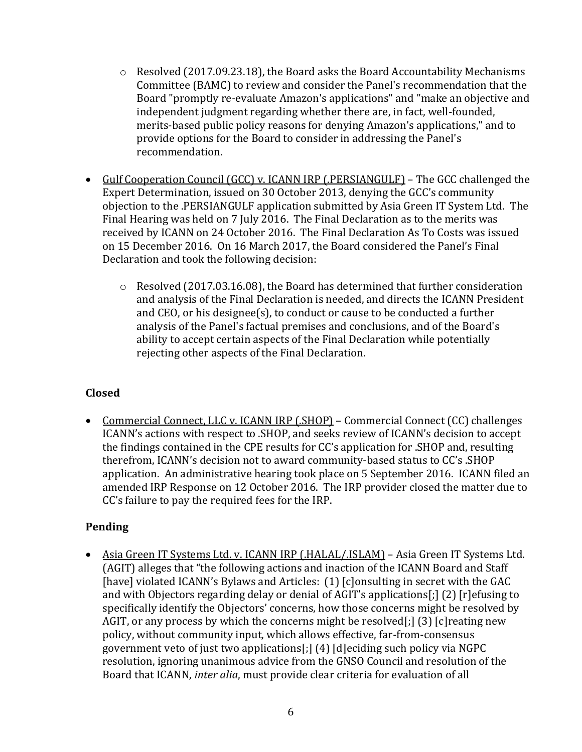- $\circ$  Resolved (2017.09.23.18), the Board asks the Board Accountability Mechanisms Committee (BAMC) to review and consider the Panel's recommendation that the Board "promptly re-evaluate Amazon's applications" and "make an objective and independent judgment regarding whether there are, in fact, well-founded, merits-based public policy reasons for denying Amazon's applications," and to provide options for the Board to consider in addressing the Panel's recommendation.
- Gulf Cooperation Council (GCC) v. ICANN IRP (.PERSIANGULF) The GCC challenged the Expert Determination, issued on 30 October 2013, denying the GCC's community objection to the .PERSIANGULF application submitted by Asia Green IT System Ltd. The Final Hearing was held on 7 July 2016. The Final Declaration as to the merits was received by ICANN on 24 October 2016. The Final Declaration As To Costs was issued on 15 December 2016. On 16 March 2017, the Board considered the Panel's Final Declaration and took the following decision:
	- o Resolved (2017.03.16.08), the Board has determined that further consideration and analysis of the Final Declaration is needed, and directs the ICANN President and CEO, or his designee(s), to conduct or cause to be conducted a further analysis of the Panel's factual premises and conclusions, and of the Board's ability to accept certain aspects of the Final Declaration while potentially rejecting other aspects of the Final Declaration.

## **Closed**

• Commercial Connect, LLC v. ICANN IRP (.SHOP) – Commercial Connect (CC) challenges ICANN's actions with respect to .SHOP, and seeks review of ICANN's decision to accept the findings contained in the CPE results for CC's application for .SHOP and, resulting therefrom, ICANN's decision not to award community-based status to CC's .SHOP application. An administrative hearing took place on 5 September 2016. ICANN filed an amended IRP Response on 12 October 2016. The IRP provider closed the matter due to CC's failure to pay the required fees for the IRP.

## **Pending**

• Asia Green IT Systems Ltd. v. ICANN IRP (.HALAL/.ISLAM) – Asia Green IT Systems Ltd. (AGIT) alleges that "the following actions and inaction of the ICANN Board and Staff [have] violated ICANN's Bylaws and Articles: (1) [c]onsulting in secret with the GAC and with Objectors regarding delay or denial of AGIT's applications[;] (2) [r]efusing to specifically identify the Objectors' concerns, how those concerns might be resolved by AGIT, or any process by which the concerns might be resolved[;] (3) [c]reating new policy, without community input, which allows effective, far-from-consensus government veto of just two applications[;] (4) [d]eciding such policy via NGPC resolution, ignoring unanimous advice from the GNSO Council and resolution of the Board that ICANN, *inter alia*, must provide clear criteria for evaluation of all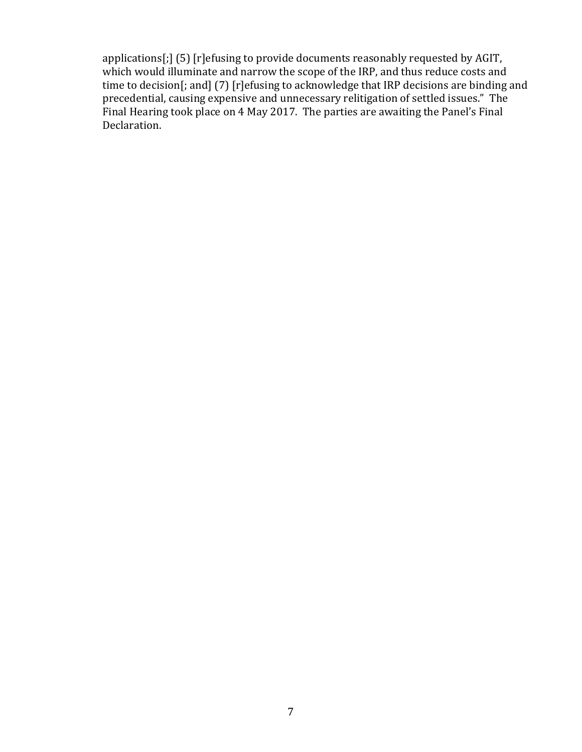applications[;] (5) [r]efusing to provide documents reasonably requested by AGIT, which would illuminate and narrow the scope of the IRP, and thus reduce costs and time to decision[; and] (7) [r]efusing to acknowledge that IRP decisions are binding and precedential, causing expensive and unnecessary relitigation of settled issues." The Final Hearing took place on 4 May 2017. The parties are awaiting the Panel's Final Declaration.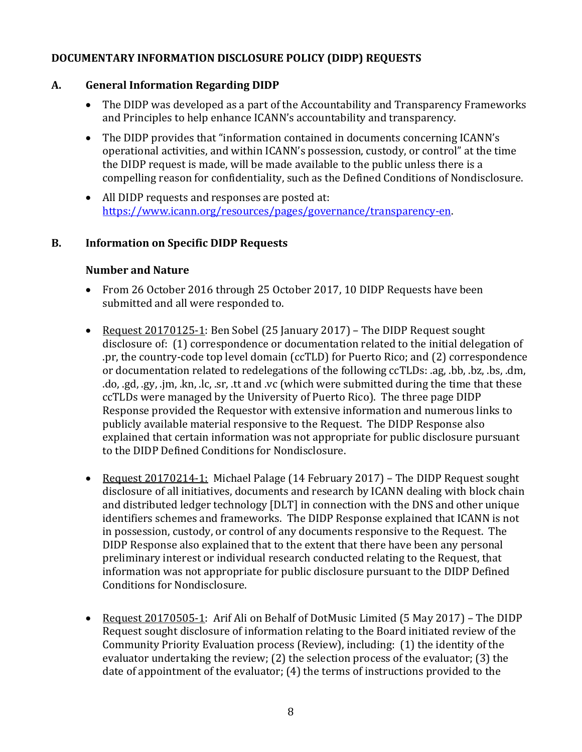## **DOCUMENTARY INFORMATION DISCLOSURE POLICY (DIDP) REQUESTS**

### **A. General Information Regarding DIDP**

- The DIDP was developed as a part of the Accountability and Transparency Frameworks and Principles to help enhance ICANN's accountability and transparency.
- The DIDP provides that "information contained in documents concerning ICANN's operational activities, and within ICANN's possession, custody, or control" at the time the DIDP request is made, will be made available to the public unless there is a compelling reason for confidentiality, such as the Defined Conditions of Nondisclosure.
- All DIDP requests and responses are posted at: [https://www.icann.org/resources/pages/governance/transparency-en.](https://www.icann.org/resources/pages/governance/transparency-en)

### **B. Information on Specific DIDP Requests**

### **Number and Nature**

- From 26 October 2016 through 25 October 2017, 10 DIDP Requests have been submitted and all were responded to.
- Request 20170125-1: Ben Sobel (25 January 2017) The DIDP Request sought disclosure of: (1) correspondence or documentation related to the initial delegation of .pr, the country-code top level domain (ccTLD) for Puerto Rico; and (2) correspondence or documentation related to redelegations of the following ccTLDs: .ag, .bb, .bz, .bs, .dm, .do, .gd, .gy, .jm, .kn, .lc, .sr, .tt and .vc (which were submitted during the time that these ccTLDs were managed by the University of Puerto Rico). The three page DIDP Response provided the Requestor with extensive information and numerous links to publicly available material responsive to the Request. The DIDP Response also explained that certain information was not appropriate for public disclosure pursuant to the DIDP Defined Conditions for Nondisclosure.
- Request 20170214-1: Michael Palage (14 February 2017) The DIDP Request sought disclosure of all initiatives, documents and research by ICANN dealing with block chain and distributed ledger technology [DLT] in connection with the DNS and other unique identifiers schemes and frameworks. The DIDP Response explained that ICANN is not in possession, custody, or control of any documents responsive to the Request. The DIDP Response also explained that to the extent that there have been any personal preliminary interest or individual research conducted relating to the Request, that information was not appropriate for public disclosure pursuant to the DIDP Defined Conditions for Nondisclosure.
- Request 20170505-1: Arif Ali on Behalf of DotMusic Limited (5 May 2017) The DIDP Request sought disclosure of information relating to the Board initiated review of the Community Priority Evaluation process (Review), including: (1) the identity of the evaluator undertaking the review; (2) the selection process of the evaluator; (3) the date of appointment of the evaluator; (4) the terms of instructions provided to the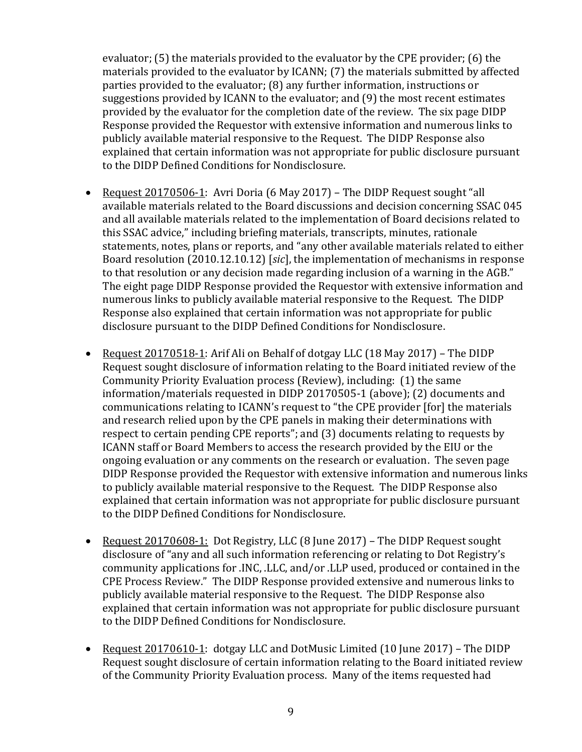evaluator; (5) the materials provided to the evaluator by the CPE provider; (6) the materials provided to the evaluator by ICANN; (7) the materials submitted by affected parties provided to the evaluator; (8) any further information, instructions or suggestions provided by ICANN to the evaluator; and (9) the most recent estimates provided by the evaluator for the completion date of the review. The six page DIDP Response provided the Requestor with extensive information and numerous links to publicly available material responsive to the Request. The DIDP Response also explained that certain information was not appropriate for public disclosure pursuant to the DIDP Defined Conditions for Nondisclosure.

- Request 20170506-1: Avri Doria (6 May 2017) The DIDP Request sought "all available materials related to the Board discussions and decision concerning SSAC 045 and all available materials related to the implementation of Board decisions related to this SSAC advice," including briefing materials, transcripts, minutes, rationale statements, notes, plans or reports, and "any other available materials related to either Board resolution (2010.12.10.12) [*sic*], the implementation of mechanisms in response to that resolution or any decision made regarding inclusion of a warning in the AGB." The eight page DIDP Response provided the Requestor with extensive information and numerous links to publicly available material responsive to the Request. The DIDP Response also explained that certain information was not appropriate for public disclosure pursuant to the DIDP Defined Conditions for Nondisclosure.
- Request 20170518-1: Arif Ali on Behalf of dotgay LLC (18 May 2017) The DIDP Request sought disclosure of information relating to the Board initiated review of the Community Priority Evaluation process (Review), including: (1) the same information/materials requested in DIDP 20170505-1 (above); (2) documents and communications relating to ICANN's request to "the CPE provider [for] the materials and research relied upon by the CPE panels in making their determinations with respect to certain pending CPE reports"; and (3) documents relating to requests by ICANN staff or Board Members to access the research provided by the EIU or the ongoing evaluation or any comments on the research or evaluation. The seven page DIDP Response provided the Requestor with extensive information and numerous links to publicly available material responsive to the Request. The DIDP Response also explained that certain information was not appropriate for public disclosure pursuant to the DIDP Defined Conditions for Nondisclosure.
- Request 20170608-1: Dot Registry, LLC (8 June 2017) The DIDP Request sought disclosure of "any and all such information referencing or relating to Dot Registry's community applications for .INC, .LLC, and/or .LLP used, produced or contained in the CPE Process Review." The DIDP Response provided extensive and numerous links to publicly available material responsive to the Request. The DIDP Response also explained that certain information was not appropriate for public disclosure pursuant to the DIDP Defined Conditions for Nondisclosure.
- Request 20170610-1: dotgay LLC and DotMusic Limited (10 June 2017) The DIDP Request sought disclosure of certain information relating to the Board initiated review of the Community Priority Evaluation process. Many of the items requested had